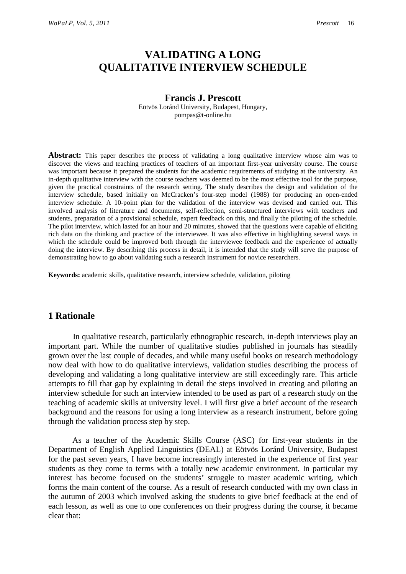# **VALIDATING A LONG QUALITATIVE INTERVIEW SCHEDULE**

#### **Francis J. Prescott**

Eötvös Loránd University, Budapest, Hungary, pompas@t-online.hu

Abstract: This paper describes the process of validating a long qualitative interview whose aim was to discover the views and teaching practices of teachers of an important first-year university course. The course was important because it prepared the students for the academic requirements of studying at the university. An in-depth qualitative interview with the course teachers was deemed to be the most effective tool for the purpose, given the practical constraints of the research setting. The study describes the design and validation of the interview schedule, based initially on McCracken's four-step model (1988) for producing an open-ended interview schedule. A 10-point plan for the validation of the interview was devised and carried out. This involved analysis of literature and documents, self-reflection, semi-structured interviews with teachers and students, preparation of a provisional schedule, expert feedback on this, and finally the piloting of the schedule. The pilot interview, which lasted for an hour and 20 minutes, showed that the questions were capable of eliciting rich data on the thinking and practice of the interviewee. It was also effective in highlighting several ways in which the schedule could be improved both through the interviewee feedback and the experience of actually doing the interview. By describing this process in detail, it is intended that the study will serve the purpose of demonstrating how to go about validating such a research instrument for novice researchers.

**Keywords:** academic skills, qualitative research, interview schedule, validation, piloting

# **1 Rationale**

In qualitative research, particularly ethnographic research, in-depth interviews play an important part. While the number of qualitative studies published in journals has steadily grown over the last couple of decades, and while many useful books on research methodology now deal with how to do qualitative interviews, validation studies describing the process of developing and validating a long qualitative interview are still exceedingly rare. This article attempts to fill that gap by explaining in detail the steps involved in creating and piloting an interview schedule for such an interview intended to be used as part of a research study on the teaching of academic skills at university level. I will first give a brief account of the research background and the reasons for using a long interview as a research instrument, before going through the validation process step by step.

 As a teacher of the Academic Skills Course (ASC) for first-year students in the Department of English Applied Linguistics (DEAL) at Eötvös Loránd University, Budapest for the past seven years, I have become increasingly interested in the experience of first year students as they come to terms with a totally new academic environment. In particular my interest has become focused on the students' struggle to master academic writing, which forms the main content of the course. As a result of research conducted with my own class in the autumn of 2003 which involved asking the students to give brief feedback at the end of each lesson, as well as one to one conferences on their progress during the course, it became clear that: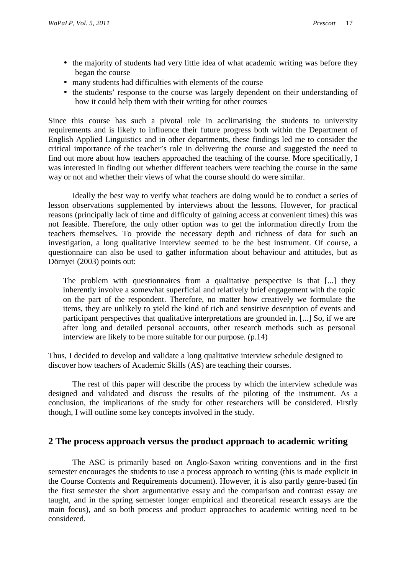- the majority of students had very little idea of what academic writing was before they began the course
- many students had difficulties with elements of the course
- the students' response to the course was largely dependent on their understanding of how it could help them with their writing for other courses

Since this course has such a pivotal role in acclimatising the students to university requirements and is likely to influence their future progress both within the Department of English Applied Linguistics and in other departments, these findings led me to consider the critical importance of the teacher's role in delivering the course and suggested the need to find out more about how teachers approached the teaching of the course. More specifically, I was interested in finding out whether different teachers were teaching the course in the same way or not and whether their views of what the course should do were similar.

 Ideally the best way to verify what teachers are doing would be to conduct a series of lesson observations supplemented by interviews about the lessons. However, for practical reasons (principally lack of time and difficulty of gaining access at convenient times) this was not feasible. Therefore, the only other option was to get the information directly from the teachers themselves. To provide the necessary depth and richness of data for such an investigation, a long qualitative interview seemed to be the best instrument. Of course, a questionnaire can also be used to gather information about behaviour and attitudes, but as Dörnyei (2003) points out:

The problem with questionnaires from a qualitative perspective is that [...] they inherently involve a somewhat superficial and relatively brief engagement with the topic on the part of the respondent. Therefore, no matter how creatively we formulate the items, they are unlikely to yield the kind of rich and sensitive description of events and participant perspectives that qualitative interpretations are grounded in. [...] So, if we are after long and detailed personal accounts, other research methods such as personal interview are likely to be more suitable for our purpose. (p.14)

Thus, I decided to develop and validate a long qualitative interview schedule designed to discover how teachers of Academic Skills (AS) are teaching their courses.

 The rest of this paper will describe the process by which the interview schedule was designed and validated and discuss the results of the piloting of the instrument. As a conclusion, the implications of the study for other researchers will be considered. Firstly though, I will outline some key concepts involved in the study.

# **2 The process approach versus the product approach to academic writing**

 The ASC is primarily based on Anglo-Saxon writing conventions and in the first semester encourages the students to use a process approach to writing (this is made explicit in the Course Contents and Requirements document). However, it is also partly genre-based (in the first semester the short argumentative essay and the comparison and contrast essay are taught, and in the spring semester longer empirical and theoretical research essays are the main focus), and so both process and product approaches to academic writing need to be considered.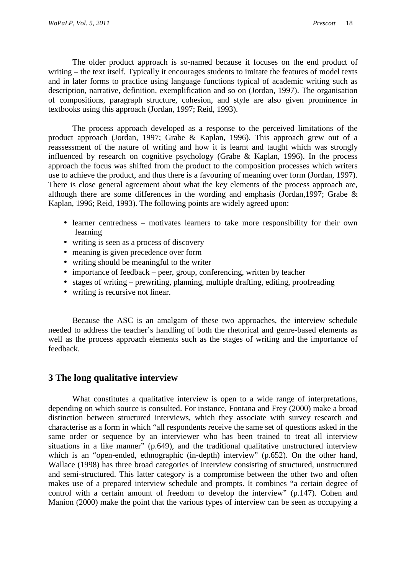The older product approach is so-named because it focuses on the end product of writing – the text itself. Typically it encourages students to imitate the features of model texts and in later forms to practice using language functions typical of academic writing such as description, narrative, definition, exemplification and so on (Jordan, 1997). The organisation of compositions, paragraph structure, cohesion, and style are also given prominence in textbooks using this approach (Jordan, 1997; Reid, 1993).

 The process approach developed as a response to the perceived limitations of the product approach (Jordan, 1997; Grabe & Kaplan, 1996). This approach grew out of a reassessment of the nature of writing and how it is learnt and taught which was strongly influenced by research on cognitive psychology (Grabe & Kaplan, 1996). In the process approach the focus was shifted from the product to the composition processes which writers use to achieve the product, and thus there is a favouring of meaning over form (Jordan, 1997). There is close general agreement about what the key elements of the process approach are, although there are some differences in the wording and emphasis (Jordan,1997; Grabe & Kaplan, 1996; Reid, 1993). The following points are widely agreed upon:

- learner centredness motivates learners to take more responsibility for their own learning
- writing is seen as a process of discovery
- meaning is given precedence over form
- writing should be meaningful to the writer
- importance of feedback peer, group, conferencing, written by teacher
- stages of writing prewriting, planning, multiple drafting, editing, proofreading
- writing is recursive not linear.

 Because the ASC is an amalgam of these two approaches, the interview schedule needed to address the teacher's handling of both the rhetorical and genre-based elements as well as the process approach elements such as the stages of writing and the importance of feedback.

# **3 The long qualitative interview**

 What constitutes a qualitative interview is open to a wide range of interpretations, depending on which source is consulted. For instance, Fontana and Frey (2000) make a broad distinction between structured interviews, which they associate with survey research and characterise as a form in which "all respondents receive the same set of questions asked in the same order or sequence by an interviewer who has been trained to treat all interview situations in a like manner" (p.649), and the traditional qualitative unstructured interview which is an "open-ended, ethnographic (in-depth) interview" (p.652). On the other hand, Wallace (1998) has three broad categories of interview consisting of structured, unstructured and semi-structured. This latter category is a compromise between the other two and often makes use of a prepared interview schedule and prompts. It combines "a certain degree of control with a certain amount of freedom to develop the interview" (p.147). Cohen and Manion (2000) make the point that the various types of interview can be seen as occupying a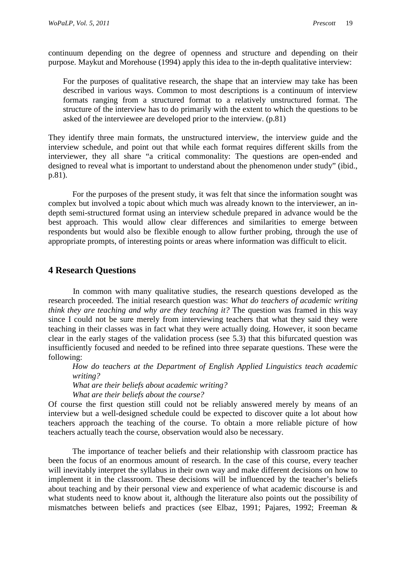continuum depending on the degree of openness and structure and depending on their purpose. Maykut and Morehouse (1994) apply this idea to the in-depth qualitative interview:

For the purposes of qualitative research, the shape that an interview may take has been described in various ways. Common to most descriptions is a continuum of interview formats ranging from a structured format to a relatively unstructured format. The structure of the interview has to do primarily with the extent to which the questions to be asked of the interviewee are developed prior to the interview. (p.81)

They identify three main formats, the unstructured interview, the interview guide and the interview schedule, and point out that while each format requires different skills from the interviewer, they all share "a critical commonality: The questions are open-ended and designed to reveal what is important to understand about the phenomenon under study" (ibid., p.81).

 For the purposes of the present study, it was felt that since the information sought was complex but involved a topic about which much was already known to the interviewer, an indepth semi-structured format using an interview schedule prepared in advance would be the best approach. This would allow clear differences and similarities to emerge between respondents but would also be flexible enough to allow further probing, through the use of appropriate prompts, of interesting points or areas where information was difficult to elicit.

# **4 Research Questions**

In common with many qualitative studies, the research questions developed as the research proceeded. The initial research question was: *What do teachers of academic writing think they are teaching and why are they teaching it?* The question was framed in this way since I could not be sure merely from interviewing teachers that what they said they were teaching in their classes was in fact what they were actually doing. However, it soon became clear in the early stages of the validation process (see 5.3) that this bifurcated question was insufficiently focused and needed to be refined into three separate questions. These were the following:

*How do teachers at the Department of English Applied Linguistics teach academic writing?* 

*What are their beliefs about academic writing?* 

*What are their beliefs about the course?* 

Of course the first question still could not be reliably answered merely by means of an interview but a well-designed schedule could be expected to discover quite a lot about how teachers approach the teaching of the course. To obtain a more reliable picture of how teachers actually teach the course, observation would also be necessary.

 The importance of teacher beliefs and their relationship with classroom practice has been the focus of an enormous amount of research. In the case of this course, every teacher will inevitably interpret the syllabus in their own way and make different decisions on how to implement it in the classroom. These decisions will be influenced by the teacher's beliefs about teaching and by their personal view and experience of what academic discourse is and what students need to know about it, although the literature also points out the possibility of mismatches between beliefs and practices (see Elbaz, 1991; Pajares, 1992; Freeman &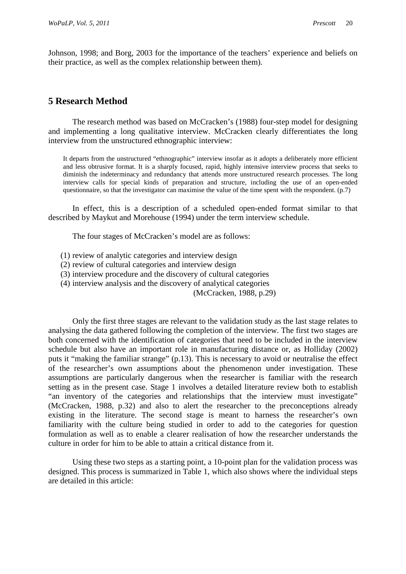Johnson, 1998; and Borg, 2003 for the importance of the teachers' experience and beliefs on their practice, as well as the complex relationship between them).

# **5 Research Method**

 The research method was based on McCracken's (1988) four-step model for designing and implementing a long qualitative interview. McCracken clearly differentiates the long interview from the unstructured ethnographic interview:

It departs from the unstructured "ethnographic" interview insofar as it adopts a deliberately more efficient and less obtrusive format. It is a sharply focused, rapid, highly intensive interview process that seeks to diminish the indeterminacy and redundancy that attends more unstructured research processes. The long interview calls for special kinds of preparation and structure, including the use of an open-ended questionnaire, so that the investigator can maximise the value of the time spent with the respondent. (p.7)

 In effect, this is a description of a scheduled open-ended format similar to that described by Maykut and Morehouse (1994) under the term interview schedule.

The four stages of McCracken's model are as follows:

- (1) review of analytic categories and interview design
- (2) review of cultural categories and interview design
- (3) interview procedure and the discovery of cultural categories
- (4) interview analysis and the discovery of analytical categories

(McCracken, 1988, p.29)

 Only the first three stages are relevant to the validation study as the last stage relates to analysing the data gathered following the completion of the interview. The first two stages are both concerned with the identification of categories that need to be included in the interview schedule but also have an important role in manufacturing distance or, as Holliday (2002) puts it "making the familiar strange" (p.13). This is necessary to avoid or neutralise the effect of the researcher's own assumptions about the phenomenon under investigation. These assumptions are particularly dangerous when the researcher is familiar with the research setting as in the present case. Stage 1 involves a detailed literature review both to establish "an inventory of the categories and relationships that the interview must investigate" (McCracken, 1988, p.32) and also to alert the researcher to the preconceptions already existing in the literature. The second stage is meant to harness the researcher's own familiarity with the culture being studied in order to add to the categories for question formulation as well as to enable a clearer realisation of how the researcher understands the culture in order for him to be able to attain a critical distance from it.

 Using these two steps as a starting point, a 10-point plan for the validation process was designed. This process is summarized in Table 1, which also shows where the individual steps are detailed in this article: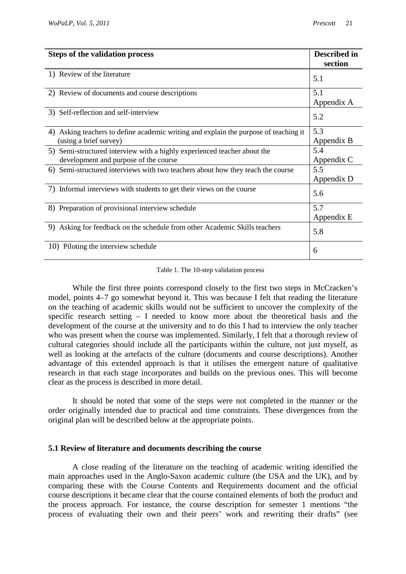| <b>Steps of the validation process</b>                                                                            | <b>Described in</b><br>section |
|-------------------------------------------------------------------------------------------------------------------|--------------------------------|
| 1) Review of the literature                                                                                       | 5.1                            |
| 2) Review of documents and course descriptions                                                                    | 5.1<br>Appendix A              |
| 3) Self-reflection and self-interview                                                                             | 5.2                            |
| Asking teachers to define academic writing and explain the purpose of teaching it<br>4)<br>(using a brief survey) | 5.3<br>Appendix B              |
| 5) Semi-structured interview with a highly experienced teacher about the<br>development and purpose of the course | 5.4<br>Appendix C              |
| 6) Semi-structured interviews with two teachers about how they teach the course                                   | 5.5<br>Appendix D              |
| 7) Informal interviews with students to get their views on the course                                             | 5.6                            |
| 8) Preparation of provisional interview schedule                                                                  | 5.7<br>Appendix E              |
| 9) Asking for feedback on the schedule from other Academic Skills teachers                                        | 5.8                            |
| 10) Piloting the interview schedule                                                                               | 6                              |

#### Table 1. The 10-step validation process

 While the first three points correspond closely to the first two steps in McCracken's model, points 4–7 go somewhat beyond it. This was because I felt that reading the literature on the teaching of academic skills would not be sufficient to uncover the complexity of the specific research setting – I needed to know more about the theoretical basis and the development of the course at the university and to do this I had to interview the only teacher who was present when the course was implemented. Similarly, I felt that a thorough review of cultural categories should include all the participants within the culture, not just myself, as well as looking at the artefacts of the culture (documents and course descriptions). Another advantage of this extended approach is that it utilises the emergent nature of qualitative research in that each stage incorporates and builds on the previous ones. This will become clear as the process is described in more detail.

 It should be noted that some of the steps were not completed in the manner or the order originally intended due to practical and time constraints. These divergences from the original plan will be described below at the appropriate points.

#### **5.1 Review of literature and documents describing the course**

 A close reading of the literature on the teaching of academic writing identified the main approaches used in the Anglo-Saxon academic culture (the USA and the UK), and by comparing these with the Course Contents and Requirements document and the official course descriptions it became clear that the course contained elements of both the product and the process approach. For instance, the course description for semester 1 mentions "the process of evaluating their own and their peers' work and rewriting their drafts" (see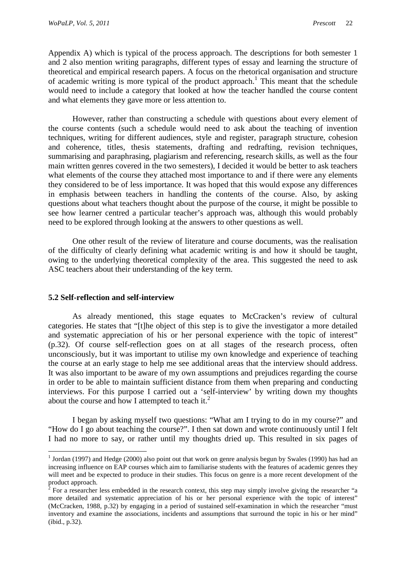Appendix A) which is typical of the process approach. The descriptions for both semester 1 and 2 also mention writing paragraphs, different types of essay and learning the structure of theoretical and empirical research papers. A focus on the rhetorical organisation and structure of academic writing is more typical of the product approach.<sup>1</sup> This meant that the schedule would need to include a category that looked at how the teacher handled the course content and what elements they gave more or less attention to.

 However, rather than constructing a schedule with questions about every element of the course contents (such a schedule would need to ask about the teaching of invention techniques, writing for different audiences, style and register, paragraph structure, cohesion and coherence, titles, thesis statements, drafting and redrafting, revision techniques, summarising and paraphrasing, plagiarism and referencing, research skills, as well as the four main written genres covered in the two semesters), I decided it would be better to ask teachers what elements of the course they attached most importance to and if there were any elements they considered to be of less importance. It was hoped that this would expose any differences in emphasis between teachers in handling the contents of the course. Also, by asking questions about what teachers thought about the purpose of the course, it might be possible to see how learner centred a particular teacher's approach was, although this would probably need to be explored through looking at the answers to other questions as well.

 One other result of the review of literature and course documents, was the realisation of the difficulty of clearly defining what academic writing is and how it should be taught, owing to the underlying theoretical complexity of the area. This suggested the need to ask ASC teachers about their understanding of the key term.

### **5.2 Self-reflection and self-interview**

 $\overline{a}$ 

 As already mentioned, this stage equates to McCracken's review of cultural categories. He states that "[t]he object of this step is to give the investigator a more detailed and systematic appreciation of his or her personal experience with the topic of interest" (p.32). Of course self-reflection goes on at all stages of the research process, often unconsciously, but it was important to utilise my own knowledge and experience of teaching the course at an early stage to help me see additional areas that the interview should address. It was also important to be aware of my own assumptions and prejudices regarding the course in order to be able to maintain sufficient distance from them when preparing and conducting interviews. For this purpose I carried out a 'self-interview' by writing down my thoughts about the course and how I attempted to teach it. $2$ 

 I began by asking myself two questions: "What am I trying to do in my course?" and "How do I go about teaching the course?". I then sat down and wrote continuously until I felt I had no more to say, or rather until my thoughts dried up. This resulted in six pages of

<sup>&</sup>lt;sup>1</sup> Jordan (1997) and Hedge (2000) also point out that work on genre analysis begun by Swales (1990) has had an increasing influence on EAP courses which aim to familiarise students with the features of academic genres they will meet and be expected to produce in their studies. This focus on genre is a more recent development of the product approach.

 $2^2$  For a researcher less embedded in the research context, this step may simply involve giving the researcher "a more detailed and systematic appreciation of his or her personal experience with the topic of interest" (McCracken, 1988, p.32) by engaging in a period of sustained self-examination in which the researcher "must inventory and examine the associations, incidents and assumptions that surround the topic in his or her mind" (ibid., p.32).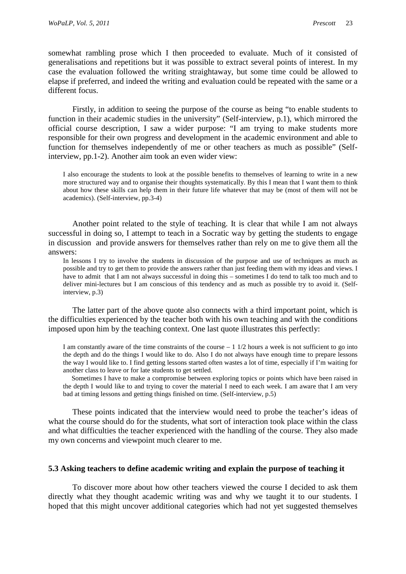somewhat rambling prose which I then proceeded to evaluate. Much of it consisted of generalisations and repetitions but it was possible to extract several points of interest. In my case the evaluation followed the writing straightaway, but some time could be allowed to elapse if preferred, and indeed the writing and evaluation could be repeated with the same or a different focus.

 Firstly, in addition to seeing the purpose of the course as being "to enable students to function in their academic studies in the university" (Self-interview, p.1), which mirrored the official course description, I saw a wider purpose: "I am trying to make students more responsible for their own progress and development in the academic environment and able to function for themselves independently of me or other teachers as much as possible" (Selfinterview, pp.1-2). Another aim took an even wider view:

I also encourage the students to look at the possible benefits to themselves of learning to write in a new more structured way and to organise their thoughts systematically. By this I mean that I want them to think about how these skills can help them in their future life whatever that may be (most of them will not be academics). (Self-interview, pp.3-4)

 Another point related to the style of teaching. It is clear that while I am not always successful in doing so, I attempt to teach in a Socratic way by getting the students to engage in discussion and provide answers for themselves rather than rely on me to give them all the answers:

In lessons I try to involve the students in discussion of the purpose and use of techniques as much as possible and try to get them to provide the answers rather than just feeding them with my ideas and views. I have to admit that I am not always successful in doing this – sometimes I do tend to talk too much and to deliver mini-lectures but I am conscious of this tendency and as much as possible try to avoid it. (Selfinterview, p.3)

 The latter part of the above quote also connects with a third important point, which is the difficulties experienced by the teacher both with his own teaching and with the conditions imposed upon him by the teaching context. One last quote illustrates this perfectly:

I am constantly aware of the time constraints of the course  $-1$  1/2 hours a week is not sufficient to go into the depth and do the things I would like to do. Also I do not always have enough time to prepare lessons the way I would like to. I find getting lessons started often wastes a lot of time, especially if I'm waiting for another class to leave or for late students to get settled.

 Sometimes I have to make a compromise between exploring topics or points which have been raised in the depth I would like to and trying to cover the material I need to each week. I am aware that I am very bad at timing lessons and getting things finished on time. (Self-interview, p.5)

 These points indicated that the interview would need to probe the teacher's ideas of what the course should do for the students, what sort of interaction took place within the class and what difficulties the teacher experienced with the handling of the course. They also made my own concerns and viewpoint much clearer to me.

#### **5.3 Asking teachers to define academic writing and explain the purpose of teaching it**

 To discover more about how other teachers viewed the course I decided to ask them directly what they thought academic writing was and why we taught it to our students. I hoped that this might uncover additional categories which had not yet suggested themselves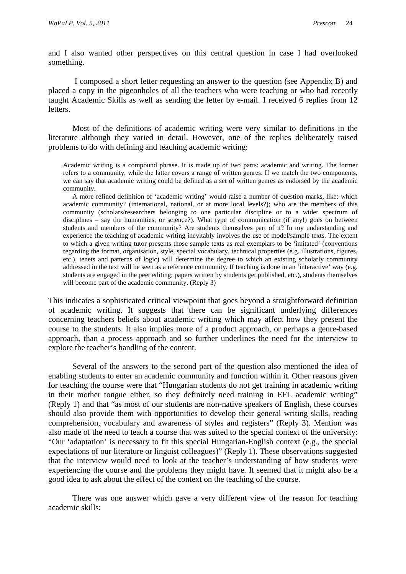and I also wanted other perspectives on this central question in case I had overlooked something.

 I composed a short letter requesting an answer to the question (see Appendix B) and placed a copy in the pigeonholes of all the teachers who were teaching or who had recently taught Academic Skills as well as sending the letter by e-mail. I received 6 replies from 12 letters.

 Most of the definitions of academic writing were very similar to definitions in the literature although they varied in detail. However, one of the replies deliberately raised problems to do with defining and teaching academic writing:

Academic writing is a compound phrase. It is made up of two parts: academic and writing. The former refers to a community, while the latter covers a range of written genres. If we match the two components, we can say that academic writing could be defined as a set of written genres as endorsed by the academic community.

 A more refined definition of 'academic writing' would raise a number of question marks, like: which academic community? (international, national, or at more local levels?); who are the members of this community (scholars/researchers belonging to one particular discipline or to a wider spectrum of disciplines – say the humanities, or science?). What type of communication (if any!) goes on between students and members of the community? Are students themselves part of it? In my understanding and experience the teaching of academic writing inevitably involves the use of model/sample texts. The extent to which a given writing tutor presents those sample texts as real exemplars to be 'imitated' (conventions regarding the format, organisation, style, special vocabulary, technical properties (e.g. illustrations, figures, etc.), tenets and patterns of logic) will determine the degree to which an existing scholarly community addressed in the text will be seen as a reference community. If teaching is done in an 'interactive' way (e.g. students are engaged in the peer editing; papers written by students get published, etc.), students themselves will become part of the academic community. (Reply 3)

This indicates a sophisticated critical viewpoint that goes beyond a straightforward definition of academic writing. It suggests that there can be significant underlying differences concerning teachers beliefs about academic writing which may affect how they present the course to the students. It also implies more of a product approach, or perhaps a genre-based approach, than a process approach and so further underlines the need for the interview to explore the teacher's handling of the content.

 Several of the answers to the second part of the question also mentioned the idea of enabling students to enter an academic community and function within it. Other reasons given for teaching the course were that "Hungarian students do not get training in academic writing in their mother tongue either, so they definitely need training in EFL academic writing" (Reply 1) and that "as most of our students are non-native speakers of English, these courses should also provide them with opportunities to develop their general writing skills, reading comprehension, vocabulary and awareness of styles and registers" (Reply 3). Mention was also made of the need to teach a course that was suited to the special context of the university: "Our 'adaptation' is necessary to fit this special Hungarian-English context (e.g., the special expectations of our literature or linguist colleagues)" (Reply 1). These observations suggested that the interview would need to look at the teacher's understanding of how students were experiencing the course and the problems they might have. It seemed that it might also be a good idea to ask about the effect of the context on the teaching of the course.

 There was one answer which gave a very different view of the reason for teaching academic skills: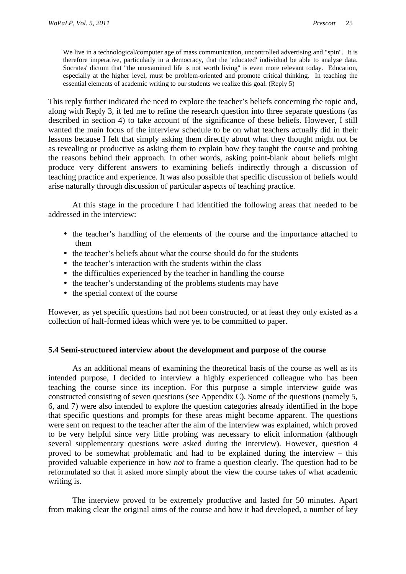We live in a technological/computer age of mass communication, uncontrolled advertising and "spin". It is therefore imperative, particularly in a democracy, that the 'educated' individual be able to analyse data. Socrates' dictum that "the unexamined life is not worth living" is even more relevant today. Education, especially at the higher level, must be problem-oriented and promote critical thinking. In teaching the essential elements of academic writing to our students we realize this goal. (Reply 5)

This reply further indicated the need to explore the teacher's beliefs concerning the topic and, along with Reply 3, it led me to refine the research question into three separate questions (as described in section 4) to take account of the significance of these beliefs. However, I still wanted the main focus of the interview schedule to be on what teachers actually did in their lessons because I felt that simply asking them directly about what they thought might not be as revealing or productive as asking them to explain how they taught the course and probing the reasons behind their approach. In other words, asking point-blank about beliefs might produce very different answers to examining beliefs indirectly through a discussion of teaching practice and experience. It was also possible that specific discussion of beliefs would arise naturally through discussion of particular aspects of teaching practice.

 At this stage in the procedure I had identified the following areas that needed to be addressed in the interview:

- the teacher's handling of the elements of the course and the importance attached to them
- the teacher's beliefs about what the course should do for the students
- the teacher's interaction with the students within the class
- the difficulties experienced by the teacher in handling the course
- the teacher's understanding of the problems students may have
- the special context of the course

However, as yet specific questions had not been constructed, or at least they only existed as a collection of half-formed ideas which were yet to be committed to paper.

### **5.4 Semi-structured interview about the development and purpose of the course**

 As an additional means of examining the theoretical basis of the course as well as its intended purpose, I decided to interview a highly experienced colleague who has been teaching the course since its inception. For this purpose a simple interview guide was constructed consisting of seven questions (see Appendix C). Some of the questions (namely 5, 6, and 7) were also intended to explore the question categories already identified in the hope that specific questions and prompts for these areas might become apparent. The questions were sent on request to the teacher after the aim of the interview was explained, which proved to be very helpful since very little probing was necessary to elicit information (although several supplementary questions were asked during the interview). However, question 4 proved to be somewhat problematic and had to be explained during the interview – this provided valuable experience in how *not* to frame a question clearly. The question had to be reformulated so that it asked more simply about the view the course takes of what academic writing is.

 The interview proved to be extremely productive and lasted for 50 minutes. Apart from making clear the original aims of the course and how it had developed, a number of key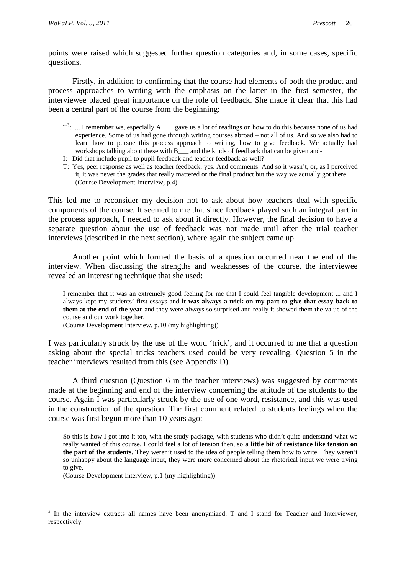points were raised which suggested further question categories and, in some cases, specific questions.

 Firstly, in addition to confirming that the course had elements of both the product and process approaches to writing with the emphasis on the latter in the first semester, the interviewee placed great importance on the role of feedback. She made it clear that this had been a central part of the course from the beginning:

- $T^3$ : ... I remember we, especially A\_\_\_ gave us a lot of readings on how to do this because none of us had experience. Some of us had gone through writing courses abroad – not all of us. And so we also had to learn how to pursue this process approach to writing, how to give feedback. We actually had workshops talking about these with B<sub>\_\_\_</sub> and the kinds of feedback that can be given and-
- I: Did that include pupil to pupil feedback and teacher feedback as well?
- T: Yes, peer response as well as teacher feedback, yes. And comments. And so it wasn't, or, as I perceived it, it was never the grades that really mattered or the final product but the way we actually got there. (Course Development Interview, p.4)

This led me to reconsider my decision not to ask about how teachers deal with specific components of the course. It seemed to me that since feedback played such an integral part in the process approach, I needed to ask about it directly. However, the final decision to have a separate question about the use of feedback was not made until after the trial teacher interviews (described in the next section), where again the subject came up.

 Another point which formed the basis of a question occurred near the end of the interview. When discussing the strengths and weaknesses of the course, the interviewee revealed an interesting technique that she used:

I remember that it was an extremely good feeling for me that I could feel tangible development ... and I always kept my students' first essays and **it was always a trick on my part to give that essay back to them at the end of the year** and they were always so surprised and really it showed them the value of the course and our work together.

(Course Development Interview, p.10 (my highlighting))

I was particularly struck by the use of the word 'trick', and it occurred to me that a question asking about the special tricks teachers used could be very revealing. Question 5 in the teacher interviews resulted from this (see Appendix D).

 A third question (Question 6 in the teacher interviews) was suggested by comments made at the beginning and end of the interview concerning the attitude of the students to the course. Again I was particularly struck by the use of one word, resistance, and this was used in the construction of the question. The first comment related to students feelings when the course was first begun more than 10 years ago:

So this is how I got into it too, with the study package, with students who didn't quite understand what we really wanted of this course. I could feel a lot of tension then, so **a little bit of resistance like tension on the part of the students**. They weren't used to the idea of people telling them how to write. They weren't so unhappy about the language input, they were more concerned about the rhetorical input we were trying to give.

(Course Development Interview, p.1 (my highlighting))

 $\overline{a}$ 

<sup>&</sup>lt;sup>3</sup> In the interview extracts all names have been anonymized. T and I stand for Teacher and Interviewer, respectively.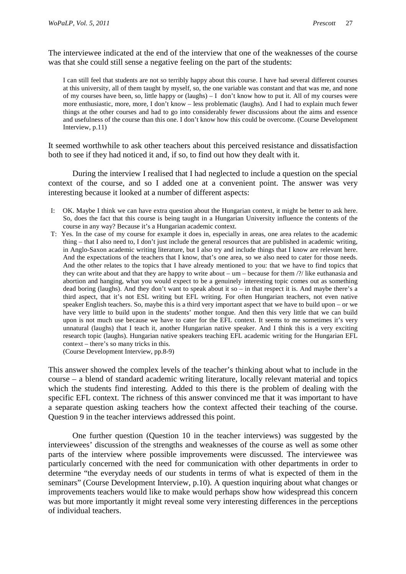The interviewee indicated at the end of the interview that one of the weaknesses of the course was that she could still sense a negative feeling on the part of the students:

I can still feel that students are not so terribly happy about this course. I have had several different courses at this university, all of them taught by myself, so, the one variable was constant and that was me, and none of my courses have been, so, little happy or (laughs) – I don't know how to put it. All of my courses were more enthusiastic, more, more, I don't know – less problematic (laughs). And I had to explain much fewer things at the other courses and had to go into considerably fewer discussions about the aims and essence and usefulness of the course than this one. I don't know how this could be overcome. (Course Development Interview, p.11)

It seemed worthwhile to ask other teachers about this perceived resistance and dissatisfaction both to see if they had noticed it and, if so, to find out how they dealt with it.

 During the interview I realised that I had neglected to include a question on the special context of the course, and so I added one at a convenient point. The answer was very interesting because it looked at a number of different aspects:

- I: OK. Maybe I think we can have extra question about the Hungarian context, it might be better to ask here. So, does the fact that this course is being taught in a Hungarian University influence the contents of the course in any way? Because it's a Hungarian academic context.
- T: Yes. In the case of my course for example it does in, especially in areas, one area relates to the academic thing – that I also need to, I don't just include the general resources that are published in academic writing, in Anglo-Saxon academic writing literature, but I also try and include things that I know are relevant here. And the expectations of the teachers that I know, that's one area, so we also need to cater for those needs. And the other relates to the topics that I have already mentioned to you: that we have to find topics that they can write about and that they are happy to write about –  $um$  – because for them  $\frac{1}{2}$  like euthanasia and abortion and hanging, what you would expect to be a genuinely interesting topic comes out as something dead boring (laughs). And they don't want to speak about it so – in that respect it is. And maybe there's a third aspect, that it's not ESL writing but EFL writing. For often Hungarian teachers, not even native speaker English teachers. So, maybe this is a third very important aspect that we have to build upon – or we have very little to build upon in the students' mother tongue. And then this very little that we can build upon is not much use because we have to cater for the EFL context. It seems to me sometimes it's very unnatural (laughs) that I teach it, another Hungarian native speaker. And I think this is a very exciting research topic (laughs). Hungarian native speakers teaching EFL academic writing for the Hungarian EFL context – there's so many tricks in this.

(Course Development Interview, pp.8-9)

This answer showed the complex levels of the teacher's thinking about what to include in the course – a blend of standard academic writing literature, locally relevant material and topics which the students find interesting. Added to this there is the problem of dealing with the specific EFL context. The richness of this answer convinced me that it was important to have a separate question asking teachers how the context affected their teaching of the course. Question 9 in the teacher interviews addressed this point.

 One further question (Question 10 in the teacher interviews) was suggested by the interviewees' discussion of the strengths and weaknesses of the course as well as some other parts of the interview where possible improvements were discussed. The interviewee was particularly concerned with the need for communication with other departments in order to determine "the everyday needs of our students in terms of what is expected of them in the seminars" (Course Development Interview, p.10). A question inquiring about what changes or improvements teachers would like to make would perhaps show how widespread this concern was but more importantly it might reveal some very interesting differences in the perceptions of individual teachers.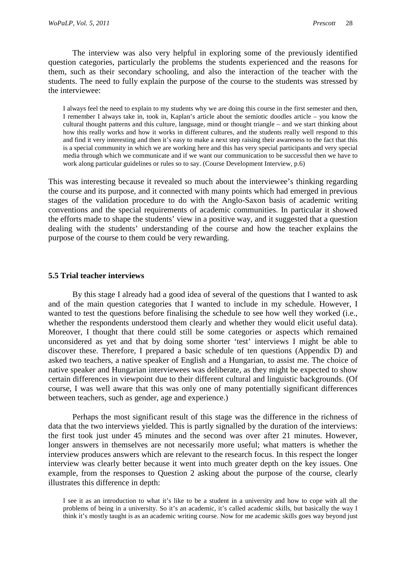The interview was also very helpful in exploring some of the previously identified question categories, particularly the problems the students experienced and the reasons for them, such as their secondary schooling, and also the interaction of the teacher with the students. The need to fully explain the purpose of the course to the students was stressed by the interviewee:

 I always feel the need to explain to my students why we are doing this course in the first semester and then, I remember I always take in, took in, Kaplan's article about the semiotic doodles article – you know the cultural thought patterns and this culture, language, mind or thought triangle – and we start thinking about how this really works and how it works in different cultures, and the students really well respond to this and find it very interesting and then it's easy to make a next step raising their awareness to the fact that this is a special community in which we are working here and this has very special participants and very special media through which we communicate and if we want our communication to be successful then we have to work along particular guidelines or rules so to say. (Course Development Interview, p.6)

This was interesting because it revealed so much about the interviewee's thinking regarding the course and its purpose, and it connected with many points which had emerged in previous stages of the validation procedure to do with the Anglo-Saxon basis of academic writing conventions and the special requirements of academic communities. In particular it showed the efforts made to shape the students' view in a positive way, and it suggested that a question dealing with the students' understanding of the course and how the teacher explains the purpose of the course to them could be very rewarding.

### **5.5 Trial teacher interviews**

 By this stage I already had a good idea of several of the questions that I wanted to ask and of the main question categories that I wanted to include in my schedule. However, I wanted to test the questions before finalising the schedule to see how well they worked (i.e., whether the respondents understood them clearly and whether they would elicit useful data). Moreover, I thought that there could still be some categories or aspects which remained unconsidered as yet and that by doing some shorter 'test' interviews I might be able to discover these. Therefore, I prepared a basic schedule of ten questions (Appendix D) and asked two teachers, a native speaker of English and a Hungarian, to assist me. The choice of native speaker and Hungarian interviewees was deliberate, as they might be expected to show certain differences in viewpoint due to their different cultural and linguistic backgrounds. (Of course, I was well aware that this was only one of many potentially significant differences between teachers, such as gender, age and experience.)

 Perhaps the most significant result of this stage was the difference in the richness of data that the two interviews yielded. This is partly signalled by the duration of the interviews: the first took just under 45 minutes and the second was over after 21 minutes. However, longer answers in themselves are not necessarily more useful; what matters is whether the interview produces answers which are relevant to the research focus. In this respect the longer interview was clearly better because it went into much greater depth on the key issues. One example, from the responses to Question 2 asking about the purpose of the course, clearly illustrates this difference in depth:

I see it as an introduction to what it's like to be a student in a university and how to cope with all the problems of being in a university. So it's an academic, it's called academic skills, but basically the way I think it's mostly taught is as an academic writing course. Now for me academic skills goes way beyond just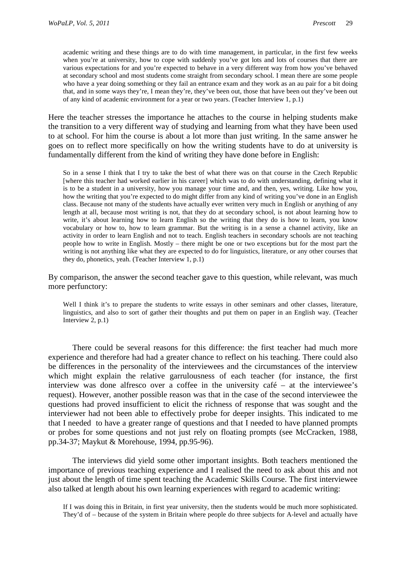academic writing and these things are to do with time management, in particular, in the first few weeks when you're at university, how to cope with suddenly you've got lots and lots of courses that there are various expectations for and you're expected to behave in a very different way from how you've behaved at secondary school and most students come straight from secondary school. I mean there are some people who have a year doing something or they fail an entrance exam and they work as an au pair for a bit doing that, and in some ways they're, I mean they're, they've been out, those that have been out they've been out of any kind of academic environment for a year or two years. (Teacher Interview 1, p.1)

Here the teacher stresses the importance he attaches to the course in helping students make the transition to a very different way of studying and learning from what they have been used to at school. For him the course is about a lot more than just writing. In the same answer he goes on to reflect more specifically on how the writing students have to do at university is fundamentally different from the kind of writing they have done before in English:

So in a sense I think that I try to take the best of what there was on that course in the Czech Republic [where this teacher had worked earlier in his career] which was to do with understanding, defining what it is to be a student in a university, how you manage your time and, and then, yes, writing. Like how you, how the writing that you're expected to do might differ from any kind of writing you've done in an English class. Because not many of the students have actually ever written very much in English or anything of any length at all, because most writing is not, that they do at secondary school, is not about learning how to write, it's about learning how to learn English so the writing that they do is how to learn, you know vocabulary or how to, how to learn grammar. But the writing is in a sense a channel activity, like an activity in order to learn English and not to teach. English teachers in secondary schools are not teaching people how to write in English. Mostly – there might be one or two exceptions but for the most part the writing is not anything like what they are expected to do for linguistics, literature, or any other courses that they do, phonetics, yeah. (Teacher Interview 1, p.1)

By comparison, the answer the second teacher gave to this question, while relevant, was much more perfunctory:

Well I think it's to prepare the students to write essays in other seminars and other classes, literature, linguistics, and also to sort of gather their thoughts and put them on paper in an English way. (Teacher Interview 2, p.1)

 There could be several reasons for this difference: the first teacher had much more experience and therefore had had a greater chance to reflect on his teaching. There could also be differences in the personality of the interviewees and the circumstances of the interview which might explain the relative garrulousness of each teacher (for instance, the first interview was done alfresco over a coffee in the university café – at the interviewee's request). However, another possible reason was that in the case of the second interviewee the questions had proved insufficient to elicit the richness of response that was sought and the interviewer had not been able to effectively probe for deeper insights. This indicated to me that I needed to have a greater range of questions and that I needed to have planned prompts or probes for some questions and not just rely on floating prompts (see McCracken, 1988, pp.34-37; Maykut & Morehouse, 1994, pp.95-96).

 The interviews did yield some other important insights. Both teachers mentioned the importance of previous teaching experience and I realised the need to ask about this and not just about the length of time spent teaching the Academic Skills Course. The first interviewee also talked at length about his own learning experiences with regard to academic writing:

If I was doing this in Britain, in first year university, then the students would be much more sophisticated. They'd of – because of the system in Britain where people do three subjects for A-level and actually have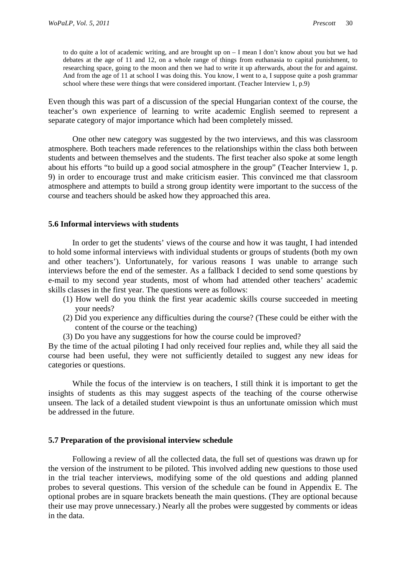to do quite a lot of academic writing, and are brought up on – I mean I don't know about you but we had debates at the age of 11 and 12, on a whole range of things from euthanasia to capital punishment, to researching space, going to the moon and then we had to write it up afterwards, about the for and against. And from the age of 11 at school I was doing this. You know, I went to a, I suppose quite a posh grammar school where these were things that were considered important. (Teacher Interview 1, p.9)

Even though this was part of a discussion of the special Hungarian context of the course, the teacher's own experience of learning to write academic English seemed to represent a separate category of major importance which had been completely missed.

 One other new category was suggested by the two interviews, and this was classroom atmosphere. Both teachers made references to the relationships within the class both between students and between themselves and the students. The first teacher also spoke at some length about his efforts "to build up a good social atmosphere in the group" (Teacher Interview 1, p. 9) in order to encourage trust and make criticism easier. This convinced me that classroom atmosphere and attempts to build a strong group identity were important to the success of the course and teachers should be asked how they approached this area.

### **5.6 Informal interviews with students**

 In order to get the students' views of the course and how it was taught, I had intended to hold some informal interviews with individual students or groups of students (both my own and other teachers'). Unfortunately, for various reasons I was unable to arrange such interviews before the end of the semester. As a fallback I decided to send some questions by e-mail to my second year students, most of whom had attended other teachers' academic skills classes in the first year. The questions were as follows:

- (1) How well do you think the first year academic skills course succeeded in meeting your needs?
- (2) Did you experience any difficulties during the course? (These could be either with the content of the course or the teaching)
- (3) Do you have any suggestions for how the course could be improved?

By the time of the actual piloting I had only received four replies and, while they all said the course had been useful, they were not sufficiently detailed to suggest any new ideas for categories or questions.

 While the focus of the interview is on teachers, I still think it is important to get the insights of students as this may suggest aspects of the teaching of the course otherwise unseen. The lack of a detailed student viewpoint is thus an unfortunate omission which must be addressed in the future.

#### **5.7 Preparation of the provisional interview schedule**

 Following a review of all the collected data, the full set of questions was drawn up for the version of the instrument to be piloted. This involved adding new questions to those used in the trial teacher interviews, modifying some of the old questions and adding planned probes to several questions. This version of the schedule can be found in Appendix E. The optional probes are in square brackets beneath the main questions. (They are optional because their use may prove unnecessary.) Nearly all the probes were suggested by comments or ideas in the data.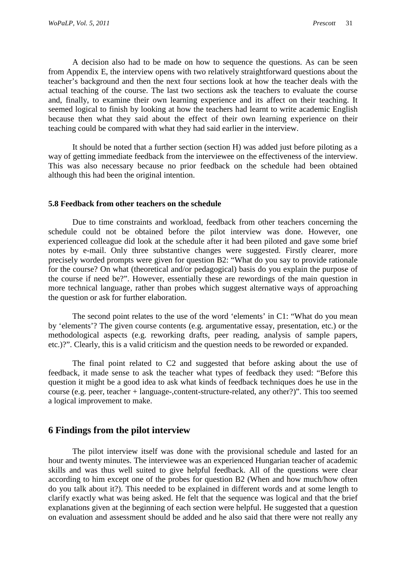A decision also had to be made on how to sequence the questions. As can be seen from Appendix E, the interview opens with two relatively straightforward questions about the teacher's background and then the next four sections look at how the teacher deals with the actual teaching of the course. The last two sections ask the teachers to evaluate the course and, finally, to examine their own learning experience and its affect on their teaching. It seemed logical to finish by looking at how the teachers had learnt to write academic English because then what they said about the effect of their own learning experience on their teaching could be compared with what they had said earlier in the interview.

 It should be noted that a further section (section H) was added just before piloting as a way of getting immediate feedback from the interviewee on the effectiveness of the interview. This was also necessary because no prior feedback on the schedule had been obtained although this had been the original intention.

#### **5.8 Feedback from other teachers on the schedule**

 Due to time constraints and workload, feedback from other teachers concerning the schedule could not be obtained before the pilot interview was done. However, one experienced colleague did look at the schedule after it had been piloted and gave some brief notes by e-mail. Only three substantive changes were suggested. Firstly clearer, more precisely worded prompts were given for question B2: "What do you say to provide rationale for the course? On what (theoretical and/or pedagogical) basis do you explain the purpose of the course if need be?". However, essentially these are rewordings of the main question in more technical language, rather than probes which suggest alternative ways of approaching the question or ask for further elaboration.

 The second point relates to the use of the word 'elements' in C1: "What do you mean by 'elements'? The given course contents (e.g. argumentative essay, presentation, etc.) or the methodological aspects (e.g. reworking drafts, peer reading, analysis of sample papers, etc.)?". Clearly, this is a valid criticism and the question needs to be reworded or expanded.

 The final point related to C2 and suggested that before asking about the use of feedback, it made sense to ask the teacher what types of feedback they used: "Before this question it might be a good idea to ask what kinds of feedback techniques does he use in the course (e.g. peer, teacher + language-,content-structure-related, any other?)". This too seemed a logical improvement to make.

### **6 Findings from the pilot interview**

 The pilot interview itself was done with the provisional schedule and lasted for an hour and twenty minutes. The interviewee was an experienced Hungarian teacher of academic skills and was thus well suited to give helpful feedback. All of the questions were clear according to him except one of the probes for question B2 (When and how much/how often do you talk about it?). This needed to be explained in different words and at some length to clarify exactly what was being asked. He felt that the sequence was logical and that the brief explanations given at the beginning of each section were helpful. He suggested that a question on evaluation and assessment should be added and he also said that there were not really any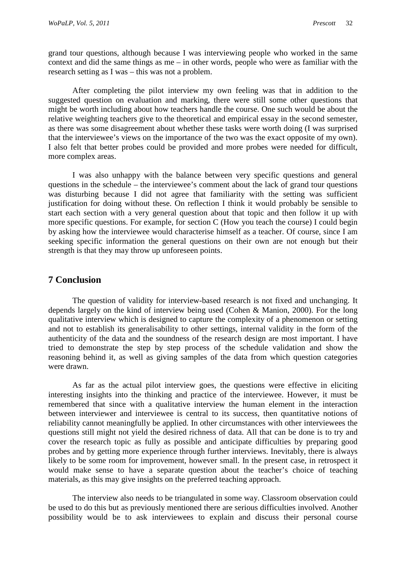grand tour questions, although because I was interviewing people who worked in the same context and did the same things as me – in other words, people who were as familiar with the research setting as I was – this was not a problem.

 After completing the pilot interview my own feeling was that in addition to the suggested question on evaluation and marking, there were still some other questions that might be worth including about how teachers handle the course. One such would be about the relative weighting teachers give to the theoretical and empirical essay in the second semester, as there was some disagreement about whether these tasks were worth doing (I was surprised that the interviewee's views on the importance of the two was the exact opposite of my own). I also felt that better probes could be provided and more probes were needed for difficult, more complex areas.

 I was also unhappy with the balance between very specific questions and general questions in the schedule – the interviewee's comment about the lack of grand tour questions was disturbing because I did not agree that familiarity with the setting was sufficient justification for doing without these. On reflection I think it would probably be sensible to start each section with a very general question about that topic and then follow it up with more specific questions. For example, for section C (How you teach the course) I could begin by asking how the interviewee would characterise himself as a teacher. Of course, since I am seeking specific information the general questions on their own are not enough but their strength is that they may throw up unforeseen points.

## **7 Conclusion**

 The question of validity for interview-based research is not fixed and unchanging. It depends largely on the kind of interview being used (Cohen & Manion, 2000). For the long qualitative interview which is designed to capture the complexity of a phenomenon or setting and not to establish its generalisability to other settings, internal validity in the form of the authenticity of the data and the soundness of the research design are most important. I have tried to demonstrate the step by step process of the schedule validation and show the reasoning behind it, as well as giving samples of the data from which question categories were drawn.

 As far as the actual pilot interview goes, the questions were effective in eliciting interesting insights into the thinking and practice of the interviewee. However, it must be remembered that since with a qualitative interview the human element in the interaction between interviewer and interviewee is central to its success, then quantitative notions of reliability cannot meaningfully be applied. In other circumstances with other interviewees the questions still might not yield the desired richness of data. All that can be done is to try and cover the research topic as fully as possible and anticipate difficulties by preparing good probes and by getting more experience through further interviews. Inevitably, there is always likely to be some room for improvement, however small. In the present case, in retrospect it would make sense to have a separate question about the teacher's choice of teaching materials, as this may give insights on the preferred teaching approach.

 The interview also needs to be triangulated in some way. Classroom observation could be used to do this but as previously mentioned there are serious difficulties involved. Another possibility would be to ask interviewees to explain and discuss their personal course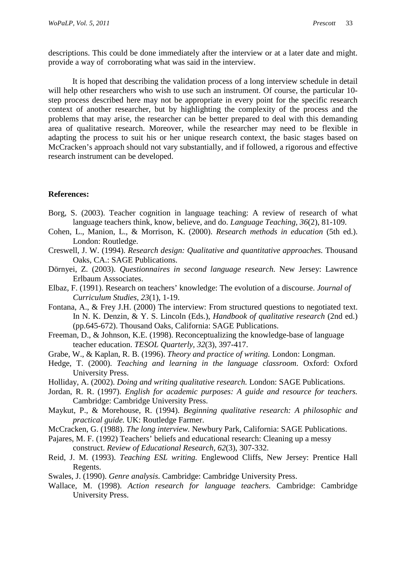descriptions. This could be done immediately after the interview or at a later date and might. provide a way of corroborating what was said in the interview.

 It is hoped that describing the validation process of a long interview schedule in detail will help other researchers who wish to use such an instrument. Of course, the particular 10step process described here may not be appropriate in every point for the specific research context of another researcher, but by highlighting the complexity of the process and the problems that may arise, the researcher can be better prepared to deal with this demanding area of qualitative research. Moreover, while the researcher may need to be flexible in adapting the process to suit his or her unique research context, the basic stages based on McCracken's approach should not vary substantially, and if followed, a rigorous and effective research instrument can be developed.

### **References:**

- Borg, S. (2003). Teacher cognition in language teaching: A review of research of what language teachers think, know, believe, and do. *Language Teaching, 36*(2), 81-109.
- Cohen, L., Manion, L., & Morrison, K. (2000). *Research methods in education* (5th ed.). London: Routledge.
- Creswell, J. W. (1994). *Research design: Qualitative and quantitative approaches.* Thousand Oaks, CA.: SAGE Publications.
- Dörnyei, Z. (2003). *Questionnaires in second language research.* New Jersey: Lawrence Erlbaum Asssociates.
- Elbaz, F. (1991). Research on teachers' knowledge: The evolution of a discourse. *Journal of Curriculum Studies, 23*(1), 1-19.
- Fontana, A., & Frey J.H. (2000) The interview: From structured questions to negotiated text. In N. K. Denzin, & Y. S. Lincoln (Eds.), *Handbook of qualitative research* (2nd ed.) (pp.645-672). Thousand Oaks, California: SAGE Publications.
- Freeman, D., & Johnson, K.E. (1998). Reconceptualizing the knowledge-base of language teacher education. *TESOL Quarterly, 32*(3), 397-417.
- Grabe, W., & Kaplan, R. B. (1996). *Theory and practice of writing.* London: Longman.
- Hedge, T. (2000). *Teaching and learning in the language classroom.* Oxford: Oxford University Press.
- Holliday, A. (2002). *Doing and writing qualitative research.* London: SAGE Publications.
- Jordan, R. R. (1997). *English for academic purposes: A guide and resource for teachers.* Cambridge: Cambridge University Press.
- Maykut, P., & Morehouse, R. (1994). *Beginning qualitative research: A philosophic and practical guide.* UK: Routledge Farmer.
- McCracken, G. (1988). *The long interview.* Newbury Park, California: SAGE Publications.
- Pajares, M. F. (1992) Teachers' beliefs and educational research: Cleaning up a messy construct. *Review of Educational Research, 62*(3), 307-332.
- Reid, J. M. (1993). *Teaching ESL writing.* Englewood Cliffs, New Jersey: Prentice Hall Regents.
- Swales, J. (1990). *Genre analysis.* Cambridge: Cambridge University Press.
- Wallace, M. (1998). *Action research for language teachers.* Cambridge: Cambridge University Press.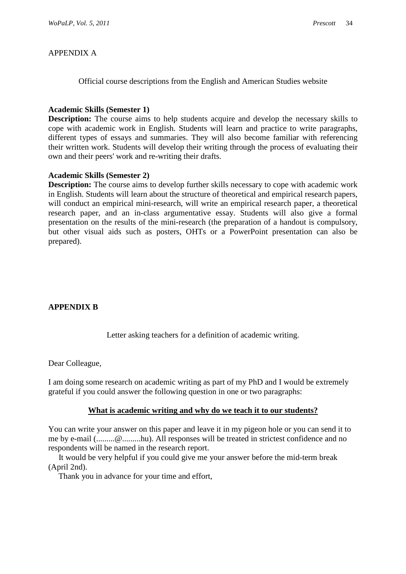# APPENDIX A

Official course descriptions from the English and American Studies website

### **Academic Skills (Semester 1)**

**Description:** The course aims to help students acquire and develop the necessary skills to cope with academic work in English. Students will learn and practice to write paragraphs, different types of essays and summaries. They will also become familiar with referencing their written work. Students will develop their writing through the process of evaluating their own and their peers' work and re-writing their drafts.

### **Academic Skills (Semester 2)**

**Description:** The course aims to develop further skills necessary to cope with academic work in English. Students will learn about the structure of theoretical and empirical research papers, will conduct an empirical mini-research, will write an empirical research paper, a theoretical research paper, and an in-class argumentative essay. Students will also give a formal presentation on the results of the mini-research (the preparation of a handout is compulsory, but other visual aids such as posters, OHTs or a PowerPoint presentation can also be prepared).

# **APPENDIX B**

Letter asking teachers for a definition of academic writing.

### Dear Colleague,

I am doing some research on academic writing as part of my PhD and I would be extremely grateful if you could answer the following question in one or two paragraphs:

### **What is academic writing and why do we teach it to our students?**

You can write your answer on this paper and leave it in my pigeon hole or you can send it to me by e-mail (.........@.........hu). All responses will be treated in strictest confidence and no respondents will be named in the research report.

 It would be very helpful if you could give me your answer before the mid-term break (April 2nd).

Thank you in advance for your time and effort,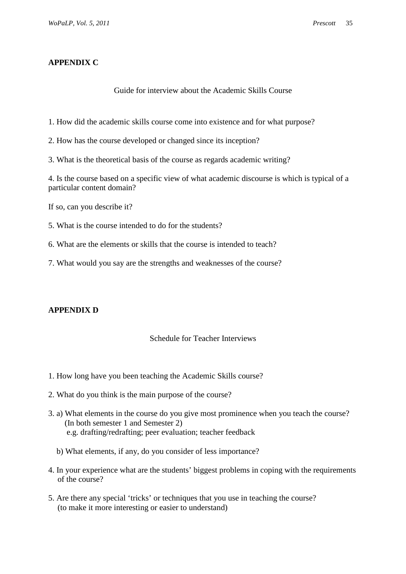# **APPENDIX C**

### Guide for interview about the Academic Skills Course

1. How did the academic skills course come into existence and for what purpose?

- 2. How has the course developed or changed since its inception?
- 3. What is the theoretical basis of the course as regards academic writing?

4. Is the course based on a specific view of what academic discourse is which is typical of a particular content domain?

If so, can you describe it?

- 5. What is the course intended to do for the students?
- 6. What are the elements or skills that the course is intended to teach?
- 7. What would you say are the strengths and weaknesses of the course?

# **APPENDIX D**

# Schedule for Teacher Interviews

- 1. How long have you been teaching the Academic Skills course?
- 2. What do you think is the main purpose of the course?
- 3. a) What elements in the course do you give most prominence when you teach the course? (In both semester 1 and Semester 2) e.g. drafting/redrafting; peer evaluation; teacher feedback
	- b) What elements, if any, do you consider of less importance?
- 4. In your experience what are the students' biggest problems in coping with the requirements of the course?
- 5. Are there any special 'tricks' or techniques that you use in teaching the course? (to make it more interesting or easier to understand)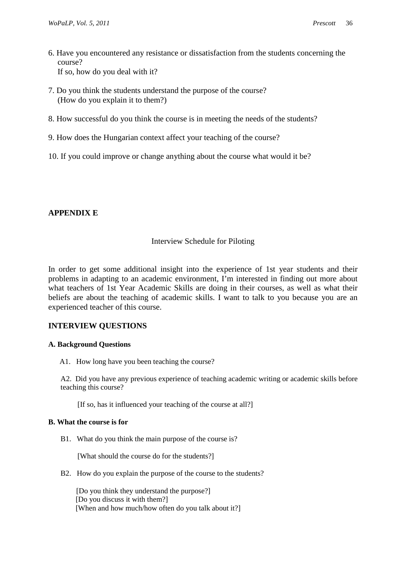- 6. Have you encountered any resistance or dissatisfaction from the students concerning the course? If so, how do you deal with it?
- 7. Do you think the students understand the purpose of the course? (How do you explain it to them?)
- 8. How successful do you think the course is in meeting the needs of the students?
- 9. How does the Hungarian context affect your teaching of the course?
- 10. If you could improve or change anything about the course what would it be?

# **APPENDIX E**

# Interview Schedule for Piloting

In order to get some additional insight into the experience of 1st year students and their problems in adapting to an academic environment, I'm interested in finding out more about what teachers of 1st Year Academic Skills are doing in their courses, as well as what their beliefs are about the teaching of academic skills. I want to talk to you because you are an experienced teacher of this course.

# **INTERVIEW QUESTIONS**

### **A. Background Questions**

A1. How long have you been teaching the course?

A2. Did you have any previous experience of teaching academic writing or academic skills before teaching this course?

[If so, has it influenced your teaching of the course at all?]

### **B. What the course is for**

B1. What do you think the main purpose of the course is?

[What should the course do for the students?]

B2. How do you explain the purpose of the course to the students?

 [Do you think they understand the purpose?] [Do you discuss it with them?] [When and how much/how often do you talk about it?]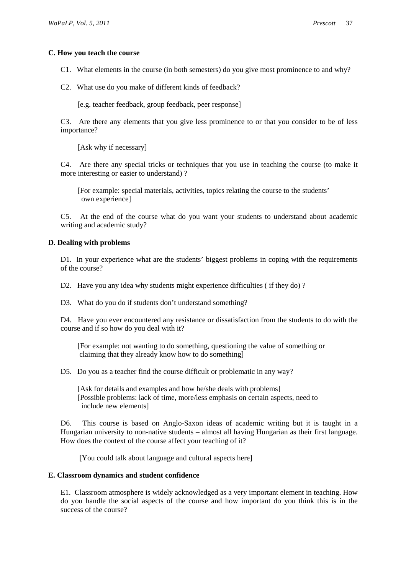#### **C. How you teach the course**

C1. What elements in the course (in both semesters) do you give most prominence to and why?

C2. What use do you make of different kinds of feedback?

[e.g. teacher feedback, group feedback, peer response]

C3. Are there any elements that you give less prominence to or that you consider to be of less importance?

[Ask why if necessary]

C4. Are there any special tricks or techniques that you use in teaching the course (to make it more interesting or easier to understand) ?

 [For example: special materials, activities, topics relating the course to the students' own experience]

C5. At the end of the course what do you want your students to understand about academic writing and academic study?

#### **D. Dealing with problems**

D1. In your experience what are the students' biggest problems in coping with the requirements of the course?

D2. Have you any idea why students might experience difficulties (if they do)?

D3. What do you do if students don't understand something?

D4. Have you ever encountered any resistance or dissatisfaction from the students to do with the course and if so how do you deal with it?

 [For example: not wanting to do something, questioning the value of something or claiming that they already know how to do something]

D5. Do you as a teacher find the course difficult or problematic in any way?

 [Ask for details and examples and how he/she deals with problems] [Possible problems: lack of time, more/less emphasis on certain aspects, need to include new elements]

D6. This course is based on Anglo-Saxon ideas of academic writing but it is taught in a Hungarian university to non-native students – almost all having Hungarian as their first language. How does the context of the course affect your teaching of it?

[You could talk about language and cultural aspects here]

#### **E. Classroom dynamics and student confidence**

 E1. Classroom atmosphere is widely acknowledged as a very important element in teaching. How do you handle the social aspects of the course and how important do you think this is in the success of the course?